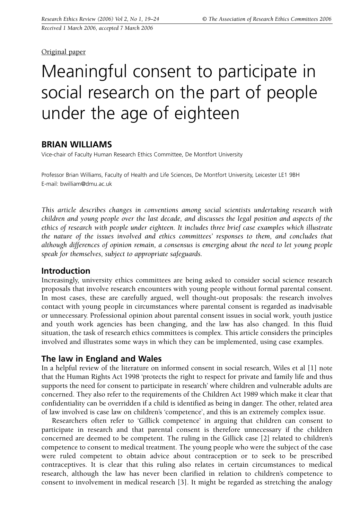*Received 1 March 2006, accepted 7 March 2006*

### Original paper

# Meaningful consent to participate in social research on the part of people under the age of eighteen

## **BRIAN WILLIAMS**

Vice-chair of Faculty Human Research Ethics Committee, De Montfort University

Professor Brian Williams, Faculty of Health and Life Sciences, De Montfort University, Leicester LE1 9BH E-mail: bwilliam@dmu.ac.uk

*This article describes changes in conventions among social scientists undertaking research with children and young people over the last decade, and discusses the legal position and aspects of the ethics of research with people under eighteen. It includes three brief case examples which illustrate the nature of the issues involved and ethics committees' responses to them, and concludes that although differences of opinion remain, a consensus is emerging about the need to let young people speak for themselves, subject to appropriate safeguards.*

## **Introduction**

Increasingly, university ethics committees are being asked to consider social science research proposals that involve research encounters with young people without formal parental consent. In most cases, these are carefully argued, well thought-out proposals: the research involves contact with young people in circumstances where parental consent is regarded as inadvisable or unnecessary. Professional opinion about parental consent issues in social work, youth justice and youth work agencies has been changing, and the law has also changed. In this fluid situation, the task of research ethics committees is complex. This article considers the principles involved and illustrates some ways in which they can be implemented, using case examples.

## **The law in England and Wales**

In a helpful review of the literature on informed consent in social research, Wiles et al [1] note that the Human Rights Act 1998 'protects the right to respect for private and family life and thus supports the need for consent to participate in research' where children and vulnerable adults are concerned. They also refer to the requirements of the Children Act 1989 which make it clear that confidentiality can be overridden if a child is identified as being in danger. The other, related area of law involved is case law on children's 'competence', and this is an extremely complex issue.

Researchers often refer to 'Gillick competence' in arguing that children can consent to participate in research and that parental consent is therefore unnecessary if the children concerned are deemed to be competent. The ruling in the Gillick case [2] related to children's competence to consent to medical treatment. The young people who were the subject of the case were ruled competent to obtain advice about contraception or to seek to be prescribed contraceptives. It is clear that this ruling also relates in certain circumstances to medical research, although the law has never been clarified in relation to children's competence to consent to involvement in medical research [3]. It might be regarded as stretching the analogy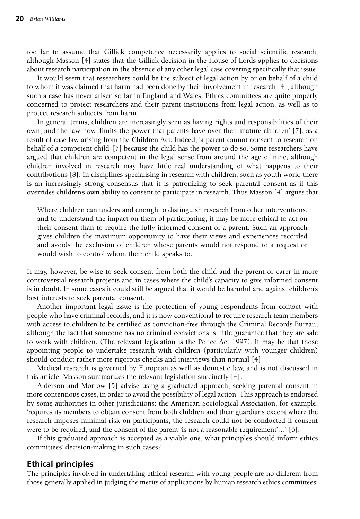too far to assume that Gillick competence necessarily applies to social scientific research, although Masson [4] states that the Gillick decision in the House of Lords applies to decisions about research participation in the absence of any other legal case covering specifically that issue.

It would seem that researchers could be the subject of legal action by or on behalf of a child to whom it was claimed that harm had been done by their involvement in research [4], although such a case has never arisen so far in England and Wales. Ethics committees are quite properly concerned to protect researchers and their parent institutions from legal action, as well as to protect research subjects from harm.

In general terms, children are increasingly seen as having rights and responsibilities of their own, and the law now 'limits the power that parents have over their mature children' [7], as a result of case law arising from the Children Act. Indeed, 'a parent cannot consent to research on behalf of a competent child' [7] because the child has the power to do so. Some researchers have argued that children are competent in the legal sense from around the age of nine, although children involved in research may have little real understanding of what happens to their contributions [8]. In disciplines specialising in research with children, such as youth work, there is an increasingly strong consensus that it is patronizing to seek parental consent as if this overrides children's own ability to consent to participate in research. Thus Masson [4] argues that

Where children can understand enough to distinguish research from other interventions, and to understand the impact on them of participating, it may be more ethical to act on their consent than to require the fully informed consent of a parent. Such an approach gives children the maximum opportunity to have their views and experiences recorded and avoids the exclusion of children whose parents would not respond to a request or would wish to control whom their child speaks to.

It may, however, be wise to seek consent from both the child and the parent or carer in more controversial research projects and in cases where the child's capacity to give informed consent is in doubt. In some cases it could still be argued that it would be harmful and against children's best interests to seek parental consent.

Another important legal issue is the protection of young respondents from contact with people who have criminal records, and it is now conventional to require research team members with access to children to be certified as conviction-free through the Criminal Records Bureau, although the fact that someone has no criminal convictions is little guarantee that they are safe to work with children. (The relevant legislation is the Police Act 1997). It may be that those appointing people to undertake research with children (particularly with younger children) should conduct rather more rigorous checks and interviews than normal [4].

Medical research is governed by European as well as domestic law, and is not discussed in this article. Masson summarizes the relevant legislation succinctly [4].

Alderson and Morrow [5] advise using a graduated approach, seeking parental consent in more contentious cases, in order to avoid the possibility of legal action. This approach is endorsed by some authorities in other jurisdictions: the American Sociological Association, for example, 'requires its members to obtain consent from both children and their guardians except where the research imposes minimal risk on participants, the research could not be conducted if consent were to be required, and the consent of the parent 'is not a reasonable requirement'…' [6].

If this graduated approach is accepted as a viable one, what principles should inform ethics committees' decision-making in such cases?

### **Ethical principles**

The principles involved in undertaking ethical research with young people are no different from those generally applied in judging the merits of applications by human research ethics committees: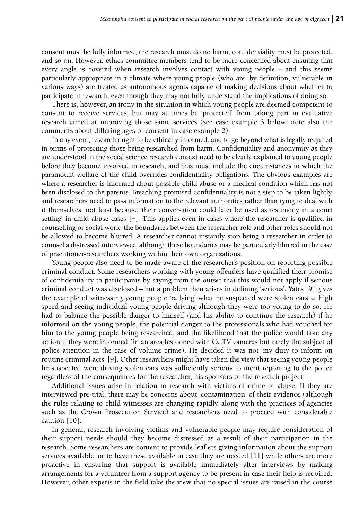consent must be fully informed, the research must do no harm, confidentiality must be protected, and so on. However, ethics committee members tend to be more concerned about ensuring that every angle is covered when research involves contact with young people – and this seems particularly appropriate in a climate where young people (who are, by definition, vulnerable in various ways) are treated as autonomous agents capable of making decisions about whether to participate in research, even though they may not fully understand the implications of doing so.

There is, however, an irony in the situation in which young people are deemed competent to consent to receive services, but may at times be 'protected' from taking part in evaluative research aimed at improving those same services (see case example 3 below; note also the comments about differing ages of consent in case example 2).

In any event, research ought to be ethically informed, and to go beyond what is legally required in terms of protecting those being researched from harm. Confidentiality and anonymity as they are understood in the social science research context need to be clearly explained to young people before they become involved in research, and this must include the circumstances in which the paramount welfare of the child overrides confidentiality obligations. The obvious examples are where a researcher is informed about possible child abuse or a medical condition which has not been disclosed to the parents. Breaching promised confidentiality is not a step to be taken lightly, and researchers need to pass information to the relevant authorities rather than tying to deal with it themselves, not least because 'their conversation could later be used as testimony in a court setting' in child abuse cases [4]. This applies even in cases where the researcher is qualified in counselling or social work: the boundaries between the researcher role and other roles should not be allowed to become blurred. A researcher cannot instantly stop being a researcher in order to counsel a distressed interviewee, although these boundaries may be particularly blurred in the case of practitioner-researchers working within their own organizations.

Young people also need to be made aware of the researcher's position on reporting possible criminal conduct. Some researchers working with young offenders have qualified their promise of confidentiality to participants by saying from the outset that this would not apply if serious criminal conduct was disclosed – but a problem then arises in defining 'serious'. Yates [9] gives the example of witnessing young people 'rallying' what he suspected were stolen cars at high speed and seeing individual young people driving although they were too young to do so. He had to balance the possible danger to himself (and his ability to continue the research) if he informed on the young people, the potential danger to the professionals who had vouched for him to the young people being researched, and the likelihood that the police would take any action if they were informed (in an area festooned with CCTV cameras but rarely the subject of police attention in the case of volume crime). He decided it was not 'my duty to inform on routine criminal acts' [9]. Other researchers might have taken the view that seeing young people he suspected were driving stolen cars was sufficiently serious to merit reporting to the police regardless of the consequences for the researcher, his sponsors or the research project.

Additional issues arise in relation to research with victims of crime or abuse. If they are interviewed pre-trial, there may be concerns about 'contamination' of their evidence (although the rules relating to child witnesses are changing rapidly, along with the practices of agencies such as the Crown Prosecution Service) and researchers need to proceed with considerable caution [10].

In general, research involving victims and vulnerable people may require consideration of their support needs should they become distressed as a result of their participation in the research. Some researchers are content to provide leaflets giving information about the support services available, or to have these available in case they are needed [11] while others are more proactive in ensuring that support is available immediately after interviews by making arrangements for a volunteer from a support agency to be present in case their help is required. However, other experts in the field take the view that no special issues are raised in the course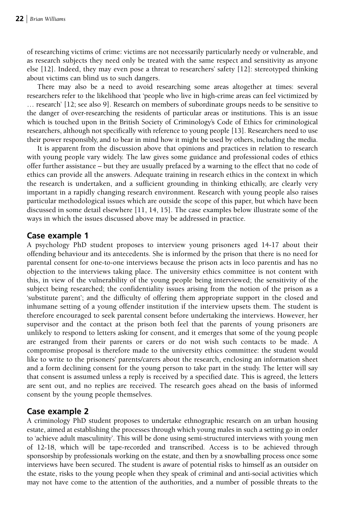of researching victims of crime: victims are not necessarily particularly needy or vulnerable, and as research subjects they need only be treated with the same respect and sensitivity as anyone else [12]. Indeed, they may even pose a threat to researchers' safety [12]: stereotyped thinking about victims can blind us to such dangers.

There may also be a need to avoid researching some areas altogether at times: several researchers refer to the likelihood that 'people who live in high-crime areas can feel victimized by … research' [12; see also 9]. Research on members of subordinate groups needs to be sensitive to the danger of over-researching the residents of particular areas or institutions. This is an issue which is touched upon in the British Society of Criminology's Code of Ethics for criminological researchers, although not specifically with reference to young people [13]. Researchers need to use their power responsibly, and to bear in mind how it might be used by others, including the media.

It is apparent from the discussion above that opinions and practices in relation to research with young people vary widely. The law gives some guidance and professional codes of ethics offer further assistance – but they are usually prefaced by a warning to the effect that no code of ethics can provide all the answers. Adequate training in research ethics in the context in which the research is undertaken, and a sufficient grounding in thinking ethically, are clearly very important in a rapidly changing research environment. Research with young people also raises particular methodological issues which are outside the scope of this paper, but which have been discussed in some detail elsewhere [11, 14, 15]. The case examples below illustrate some of the ways in which the issues discussed above may be addressed in practice.

### **Case example 1**

A psychology PhD student proposes to interview young prisoners aged 14-17 about their offending behaviour and its antecedents. She is informed by the prison that there is no need for parental consent for one-to-one interviews because the prison acts in loco parentis and has no objection to the interviews taking place. The university ethics committee is not content with this, in view of the vulnerability of the young people being interviewed; the sensitivity of the subject being researched; the confidentiality issues arising from the notion of the prison as a 'substitute parent'; and the difficulty of offering them appropriate support in the closed and inhumane setting of a young offender institution if the interview upsets them. The student is therefore encouraged to seek parental consent before undertaking the interviews. However, her supervisor and the contact at the prison both feel that the parents of young prisoners are unlikely to respond to letters asking for consent, and it emerges that some of the young people are estranged from their parents or carers or do not wish such contacts to be made. A compromise proposal is therefore made to the university ethics committee: the student would like to write to the prisoners' parents/carers about the research, enclosing an information sheet and a form declining consent for the young person to take part in the study. The letter will say that consent is assumed unless a reply is received by a specified date. This is agreed, the letters are sent out, and no replies are received. The research goes ahead on the basis of informed consent by the young people themselves.

## **Case example 2**

A criminology PhD student proposes to undertake ethnographic research on an urban housing estate, aimed at establishing the processes through which young males in such a setting go in order to 'achieve adult masculinity'. This will be done using semi-structured interviews with young men of 12-18, which will be tape-recorded and transcribed. Access is to be achieved through sponsorship by professionals working on the estate, and then by a snowballing process once some interviews have been secured. The student is aware of potential risks to himself as an outsider on the estate, risks to the young people when they speak of criminal and anti-social activities which may not have come to the attention of the authorities, and a number of possible threats to the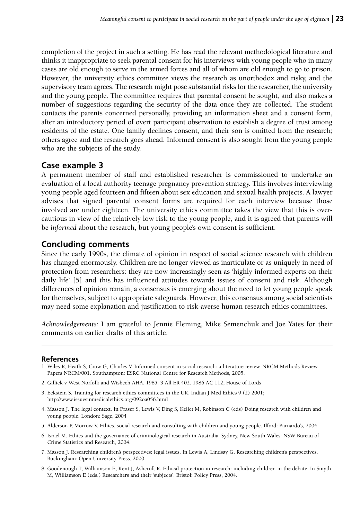completion of the project in such a setting. He has read the relevant methodological literature and thinks it inappropriate to seek parental consent for his interviews with young people who in many cases are old enough to serve in the armed forces and all of whom are old enough to go to prison. However, the university ethics committee views the research as unorthodox and risky, and the supervisory team agrees. The research might pose substantial risks for the researcher, the university and the young people. The committee requires that parental consent be sought, and also makes a number of suggestions regarding the security of the data once they are collected. The student contacts the parents concerned personally, providing an information sheet and a consent form, after an introductory period of overt participant observation to establish a degree of trust among residents of the estate. One family declines consent, and their son is omitted from the research; others agree and the research goes ahead. Informed consent is also sought from the young people who are the subjects of the study.

## **Case example 3**

A permanent member of staff and established researcher is commissioned to undertake an evaluation of a local authority teenage pregnancy prevention strategy. This involves interviewing young people aged fourteen and fifteen about sex education and sexual health projects. A lawyer advises that signed parental consent forms are required for each interview because those involved are under eighteen. The university ethics committee takes the view that this is overcautious in view of the relatively low risk to the young people, and it is agreed that parents will be *informed* about the research, but young people's own consent is sufficient.

## **Concluding comments**

Since the early 1990s, the climate of opinion in respect of social science research with children has changed enormously. Children are no longer viewed as inarticulate or as uniquely in need of protection from researchers: they are now increasingly seen as 'highly informed experts on their daily life' [5] and this has influenced attitudes towards issues of consent and risk. Although differences of opinion remain, a consensus is emerging about the need to let young people speak for themselves, subject to appropriate safeguards. However, this consensus among social scientists may need some explanation and justification to risk-averse human research ethics committees.

*Acknowledgements:* I am grateful to Jennie Fleming, Mike Semenchuk and Joe Yates for their comments on earlier drafts of this article.

#### **References**

- 1. Wiles R, Heath S, Crow G, Charles V. Informed consent in social research: a literature review. NRCM Methods Review Papers NRCM/001. Southampton: ESRC National Centre for Research Methods, 2005.
- 2. Gillick v West Norfolk and Wisbech AHA. 1985. 3 All ER 402. 1986 AC 112, House of Lords
- 3. Eckstein S. Training for research ethics committees in the UK. Indian J Med Ethics 9 (2) 2001; http://www.issuesinmedicalethics.org/092oa056.html
- 4. Masson J. The legal context. In Fraser S, Lewis V, Ding S, Kellet M, Robinson C (eds) Doing research with children and young people. London: Sage, 2004
- 5. Alderson P, Morrow V. Ethics, social research and consulting with children and young people. Ilford: Barnardo's, 2004.
- 6. Israel M. Ethics and the governance of criminological research in Australia. Sydney, New South Wales: NSW Bureau of Crime Statistics and Research, 2004.
- 7. Masson J. Researching children's perspectives: legal issues. In Lewis A, Lindsay G. Researching children's perspectives. Buckingham: Open University Press, 2000
- 8. Goodenough T, Williamson E, Kent J, Ashcroft R. Ethical protection in research: including children in the debate. In Smyth M, Williamson E (eds.) Researchers and their 'subjects'. Bristol: Policy Press, 2004.